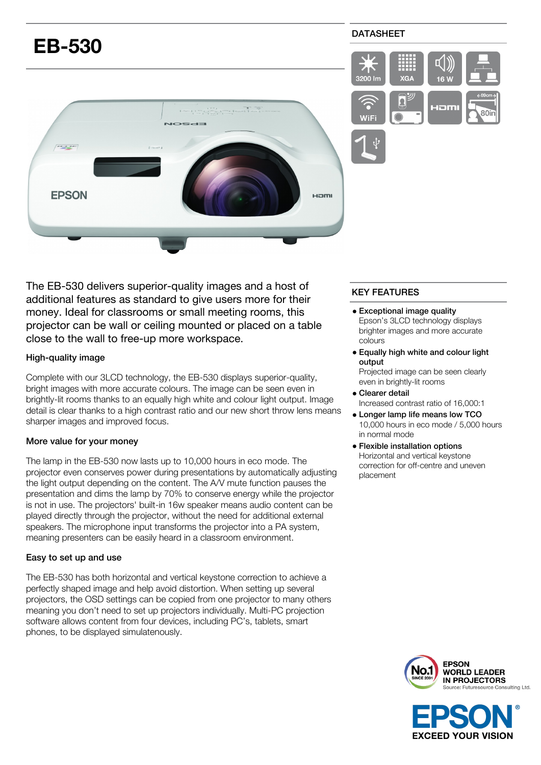

The EB-530 delivers superior-quality images and a host of additional features as standard to give users more for their money. Ideal for classrooms or small meeting rooms, this projector can be wall or ceiling mounted or placed on a table close to the wall to free-up more workspace.

## High-quality image

Complete with our 3LCD technology, the EB-530 displays superior-quality, bright images with more accurate colours. The image can be seen even in brightly-lit rooms thanks to an equally high white and colour light output. Image detail is clear thanks to a high contrast ratio and our new short throw lens means sharper images and improved focus.

#### More value for your money

The lamp in the EB-530 now lasts up to 10,000 hours in eco mode. The projector even conserves power during presentations by automatically adjusting the light output depending on the content. The A/V mute function pauses the presentation and dims the lamp by 70% to conserve energy while the projector is not in use. The projectors' built-in 16w speaker means audio content can be played directly through the projector, without the need for additional external speakers. The microphone input transforms the projector into a PA system, meaning presenters can be easily heard in a classroom environment.

#### Easy to set up and use

The EB-530 has both horizontal and vertical keystone correction to achieve a perfectly shaped image and help avoid distortion. When setting up several projectors, the OSD settings can be copied from one projector to many others meaning you don't need to set up projectors individually. Multi-PC projection software allows content from four devices, including PC's, tablets, smart phones, to be displayed simulatenously.

# KEY FEATURES

- Exceptional image quality Epson's 3LCD technology displays brighter images and more accurate colours
- Equally high white and colour light output

Projected image can be seen clearly even in brightly-lit rooms

- Clearer detail Increased contrast ratio of 16,000:1
- Longer lamp life means low TCO 10,000 hours in eco mode / 5,000 hours in normal mode
- Flexible installation options Horizontal and vertical keystone correction for off-centre and uneven placement